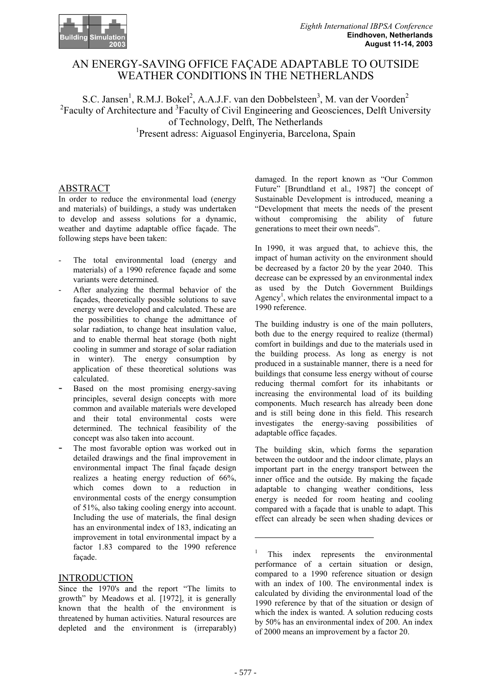

# AN ENERGY-SAVING OFFICE FAÇADE ADAPTABLE TO OUTSIDE WEATHER CONDITIONS IN THE NETHERLANDS

S.C. Jansen<sup>1</sup>, R.M.J. Bokel<sup>2</sup>, A.A.J.F. van den Dobbelsteen<sup>3</sup>, M. van der Voorden<sup>2</sup><br><sup>2</sup>Eacultu of Architecture and <sup>3</sup>Eacultu of Givil Engineering and Geoscionees. Delft Unive Faculty of Architecture and <sup>3</sup> Faculty of Civil Engineering and Geosciences, Delft University of Technology, Delft, The Netherlands 1 Present adress: Aiguasol Enginyeria, Barcelona, Spain

### ABSTRACT

In order to reduce the environmental load (energy and materials) of buildings, a study was undertaken to develop and assess solutions for a dynamic, weather and daytime adaptable office façade. The following steps have been taken:

- The total environmental load (energy and materials) of a 1990 reference façade and some variants were determined.
- After analyzing the thermal behavior of the façades, theoretically possible solutions to save energy were developed and calculated. These are the possibilities to change the admittance of solar radiation, to change heat insulation value, and to enable thermal heat storage (both night cooling in summer and storage of solar radiation in winter). The energy consumption by application of these theoretical solutions was calculated.
- Based on the most promising energy-saving principles, several design concepts with more common and available materials were developed and their total environmental costs were determined. The technical feasibility of the concept was also taken into account.
- The most favorable option was worked out in detailed drawings and the final improvement in environmental impact The final façade design realizes a heating energy reduction of 66%, which comes down to a reduction in environmental costs of the energy consumption of 51%, also taking cooling energy into account. Including the use of materials, the final design has an environmental index of 183, indicating an improvement in total environmental impact by a factor 1.83 compared to the 1990 reference façade.

#### INTRODUCTION

Since the 1970's and the report "The limits to growth" by Meadows et al. [1972], it is generally known that the health of the environment is threatened by human activities. Natural resources are depleted and the environment is (irreparably) damaged. In the report known as "Our Common Future" [Brundtland et al., 1987] the concept of Sustainable Development is introduced, meaning a "Development that meets the needs of the present without compromising the ability of future generations to meet their own needs".

In 1990, it was argued that, to achieve this, the impact of human activity on the environment should be decreased by a factor 20 by the year 2040. This decrease can be expressed by an environmental index as used by the Dutch Government Buildings Agency<sup>1</sup>, which relates the environmental impact to a 1990 reference.

The building industry is one of the main polluters, both due to the energy required to realize (thermal) comfort in buildings and due to the materials used in the building process. As long as energy is not produced in a sustainable manner, there is a need for buildings that consume less energy without of course reducing thermal comfort for its inhabitants or increasing the environmental load of its building components. Much research has already been done and is still being done in this field. This research investigates the energy-saving possibilities of adaptable office façades.

The building skin, which forms the separation between the outdoor and the indoor climate, plays an important part in the energy transport between the inner office and the outside. By making the façade adaptable to changing weather conditions, less energy is needed for room heating and cooling compared with a façade that is unable to adapt. This effect can already be seen when shading devices or

 $\overline{a}$ 

<sup>1</sup> This index represents the environmental performance of a certain situation or design, compared to a 1990 reference situation or design with an index of 100. The environmental index is calculated by dividing the environmental load of the 1990 reference by that of the situation or design of which the index is wanted. A solution reducing costs by 50% has an environmental index of 200. An index of 2000 means an improvement by a factor 20.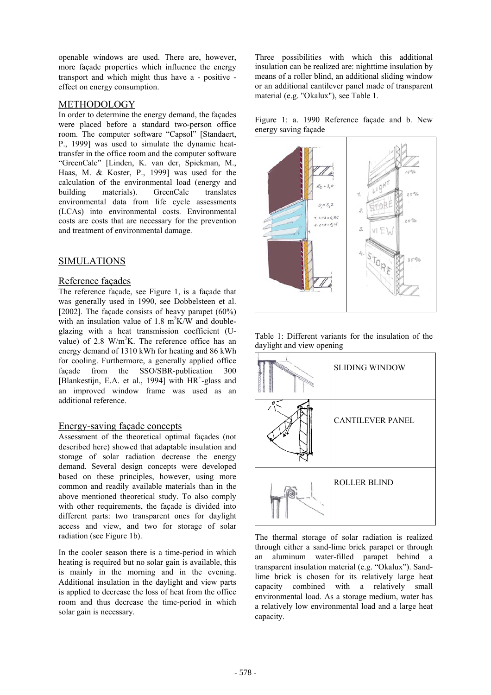openable windows are used. There are, however, more façade properties which influence the energy transport and which might thus have a - positive effect on energy consumption.

#### METHODOLOGY

In order to determine the energy demand, the façades were placed before a standard two-person office room. The computer software "Capsol" [Standaert, P., 1999] was used to simulate the dynamic heattransfer in the office room and the computer software "GreenCalc" [Linden, K. van der, Spiekman, M., Haas, M. & Koster, P., 1999] was used for the calculation of the environmental load (energy and building materials). GreenCalc translates environmental data from life cycle assessments (LCAs) into environmental costs. Environmental costs are costs that are necessary for the prevention and treatment of environmental damage.

#### SIMULATIONS

#### Reference façades

The reference façade, see Figure 1, is a façade that was generally used in 1990, see Dobbelsteen et al. [2002]. The façade consists of heavy parapet (60%) with an insulation value of 1.8  $m^2K/W$  and doubleglazing with a heat transmission coefficient (Uvalue) of 2.8  $W/m^2K$ . The reference office has an energy demand of 1310 kWh for heating and 86 kWh for cooling. Furthermore, a generally applied office façade from the SSO/SBR-publication 300 [Blankestijn, E.A. et al., 1994] with HR<sup>+</sup>-glass and an improved window frame was used as an additional reference.

#### Energy-saving façade concepts

Assessment of the theoretical optimal façades (not described here) showed that adaptable insulation and storage of solar radiation decrease the energy demand. Several design concepts were developed based on these principles, however, using more common and readily available materials than in the above mentioned theoretical study. To also comply with other requirements, the facade is divided into different parts: two transparent ones for daylight access and view, and two for storage of solar radiation (see Figure 1b). The thermal storage of solar radiation is realized

In the cooler season there is a time-period in which heating is required but no solar gain is available, this is mainly in the morning and in the evening. Additional insulation in the daylight and view parts is applied to decrease the loss of heat from the office room and thus decrease the time-period in which solar gain is necessary.

Three possibilities with which this additional insulation can be realized are: nighttime insulation by means of a roller blind, an additional sliding window or an additional cantilever panel made of transparent material (e.g. "Okalux"), see Table 1.

Figure 1: a. 1990 Reference façade and b. New energy saving façade



Table 1: Different variants for the insulation of the daylight and view opening



through either a sand-lime brick parapet or through an aluminum water-filled parapet behind a transparent insulation material (e.g. "Okalux"). Sandlime brick is chosen for its relatively large heat capacity combined with a relatively small environmental load. As a storage medium, water has a relatively low environmental load and a large heat capacity.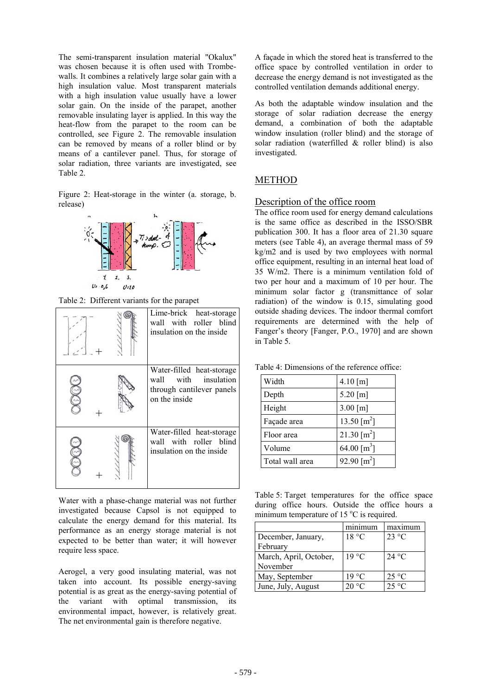The semi-transparent insulation material "Okalux" was chosen because it is often used with Trombewalls. It combines a relatively large solar gain with a high insulation value. Most transparent materials with a high insulation value usually have a lower solar gain. On the inside of the parapet, another removable insulating layer is applied. In this way the heat-flow from the parapet to the room can be controlled, see Figure 2. The removable insulation can be removed by means of a roller blind or by means of a cantilever panel. Thus, for storage of solar radiation, three variants are investigated, see Table 2.

Figure 2: Heat-storage in the winter (a. storage, b. release) Description of the office room



Table 2: Different variants for the parapet

|  | Lime-brick<br>heat-storage<br>wall with roller blind<br>insulation on the inside                |
|--|-------------------------------------------------------------------------------------------------|
|  | Water-filled heat-storage<br>wall with insulation<br>through cantilever panels<br>on the inside |
|  | Water-filled heat-storage<br>wall with roller blind<br>insulation on the inside                 |

Water with a phase-change material was not further investigated because Capsol is not equipped to calculate the energy demand for this material. Its performance as an energy storage material is not expected to be better than water; it will however require less space.

Aerogel, a very good insulating material, was not taken into account. Its possible energy-saving potential is as great as the energy-saving potential of the variant with optimal transmission, its environmental impact, however, is relatively great. The net environmental gain is therefore negative.

A façade in which the stored heat is transferred to the office space by controlled ventilation in order to decrease the energy demand is not investigated as the controlled ventilation demands additional energy.

As both the adaptable window insulation and the storage of solar radiation decrease the energy demand, a combination of both the adaptable window insulation (roller blind) and the storage of solar radiation (waterfilled & roller blind) is also investigated.

## METHOD

The office room used for energy demand calculations is the same office as described in the ISSO/SBR publication 300. It has a floor area of 21.30 square meters (see Table 4), an average thermal mass of 59 kg/m2 and is used by two employees with normal office equipment, resulting in an internal heat load of 35 W/m2. There is a minimum ventilation fold of two per hour and a maximum of 10 per hour. The minimum solar factor g (transmittance of solar radiation) of the window is 0.15, simulating good outside shading devices. The indoor thermal comfort requirements are determined with the help of Fanger's theory [Fanger, P.O., 1970] and are shown in Table 5.

Table 4: Dimensions of the reference office:

| Width           | 4.10 [m]                  |
|-----------------|---------------------------|
| Depth           | 5.20 [m]                  |
| Height          | 3.00 [m]                  |
| Façade area     | 13.50 [ $m2$ ]            |
| Floor area      | 21.30 $\rm{[m^2]}$        |
| Volume          | 64.00 $\lceil m^3 \rceil$ |
| Total wall area | 92.90 $\lceil m^2 \rceil$ |

Table 5: Target temperatures for the office space during office hours. Outside the office hours a minimum temperature of 15  $^{\circ}$ C is required.

|                        | minimum        | maximum        |
|------------------------|----------------|----------------|
| December, January,     | 18 °C          | 23 °C          |
| February               |                |                |
| March, April, October, | $19^{\circ}$ C | 24 °C          |
| November               |                |                |
| May, September         | 19 °C          | $25^{\circ}$ C |
| June, July, August     | 20 °C          | $25 \text{°C}$ |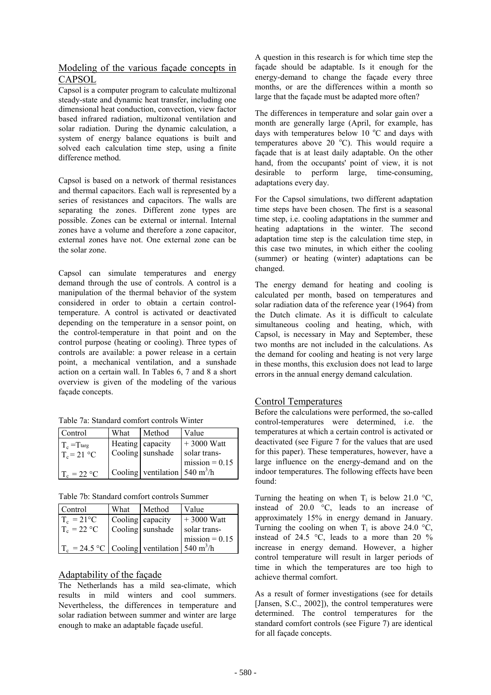## Modeling of the various façade concepts in CAPSOL

Capsol is a computer program to calculate multizonal steady-state and dynamic heat transfer, including one dimensional heat conduction, convection, view factor based infrared radiation, multizonal ventilation and solar radiation. During the dynamic calculation, a system of energy balance equations is built and solved each calculation time step, using a finite difference method.

Capsol is based on a network of thermal resistances and thermal capacitors. Each wall is represented by a series of resistances and capacitors. The walls are separating the zones. Different zone types are possible. Zones can be external or internal. Internal zones have a volume and therefore a zone capacitor external zones have not. One external zone can be the solar zone.

Capsol can simulate temperatures and energy demand through the use of controls. A control is a manipulation of the thermal behavior of the system considered in order to obtain a certain controltemperature. A control is activated or deactivated depending on the temperature in a sensor point, on the control-temperature in that point and on the control purpose (heating or cooling). Three types of controls are available: a power release in a certain point, a mechanical ventilation, and a sunshade action on a certain wall. In Tables 6, 7 and 8 a short overview is given of the modeling of the various façade concepts.

Table 7a: Standard comfort controls Winter

| Control                 | What             | Method                                        | Value            |
|-------------------------|------------------|-----------------------------------------------|------------------|
| $T_c = T_{\text{targ}}$ | Heating capacity |                                               | $+3000$ Watt     |
| $T_c = 21 \text{ °C}$   |                  | Cooling sunshade                              | solar trans-     |
|                         |                  |                                               | $mission = 0.15$ |
| $T_c = 22 °C$           |                  | Cooling   ventilation   540 m <sup>3</sup> /h |                  |

Table 7b: Standard comfort controls Summer

| Control                                                           | What | Method           | Value            |
|-------------------------------------------------------------------|------|------------------|------------------|
| $T_c = 21^{\circ}C$                                               |      | Cooling capacity | $+3000$ Watt     |
| $T_c = 22 °C$                                                     |      | Cooling sunshade | solar trans-     |
|                                                                   |      |                  | $mission = 0.15$ |
| $T_c = 24.5 \text{ °C}$ Cooling ventilation 540 m <sup>3</sup> /h |      |                  |                  |

# Adaptability of the façade

The Netherlands has a mild sea-climate, which results in mild winters and cool summers. Nevertheless, the differences in temperature and solar radiation between summer and winter are large enough to make an adaptable façade useful.

A question in this research is for which time step the façade should be adaptable. Is it enough for the energy-demand to change the façade every three months, or are the differences within a month so large that the façade must be adapted more often?

The differences in temperature and solar gain over a month are generally large (April, for example, has days with temperatures below 10  $^{\circ}$ C and days with temperatures above 20  $^{\circ}$ C). This would require a façade that is at least daily adaptable. On the other hand, from the occupants' point of view, it is not desirable to perform large, time-consuming, adaptations every day.

For the Capsol simulations, two different adaptation time steps have been chosen. The first is a seasonal time step, i.e. cooling adaptations in the summer and heating adaptations in the winter. The second adaptation time step is the calculation time step, in this case two minutes, in which either the cooling (summer) or heating (winter) adaptations can be changed.

The energy demand for heating and cooling is calculated per month, based on temperatures and solar radiation data of the reference year (1964) from the Dutch climate. As it is difficult to calculate simultaneous cooling and heating, which, with Capsol, is necessary in May and September, these two months are not included in the calculations. As the demand for cooling and heating is not very large in these months, this exclusion does not lead to large errors in the annual energy demand calculation.

## Control Temperatures

Before the calculations were performed, the so-called control-temperatures were determined, i.e. the temperatures at which a certain control is activated or deactivated (see Figure 7 for the values that are used for this paper). These temperatures, however, have a large influence on the energy-demand and on the indoor temperatures. The following effects have been found:

Turning the heating on when  $T_i$  is below 21.0 °C, instead of 20.0 °C, leads to an increase of approximately 15% in energy demand in January. Turning the cooling on when  $T_i$  is above 24.0 °C, instead of 24.5  $\degree$ C, leads to a more than 20 % increase in energy demand. However, a higher control temperature will result in larger periods of time in which the temperatures are too high to achieve thermal comfort.

As a result of former investigations (see for details [Jansen, S.C., 2002]), the control temperatures were determined. The control temperatures for the standard comfort controls (see Figure 7) are identical for all façade concepts.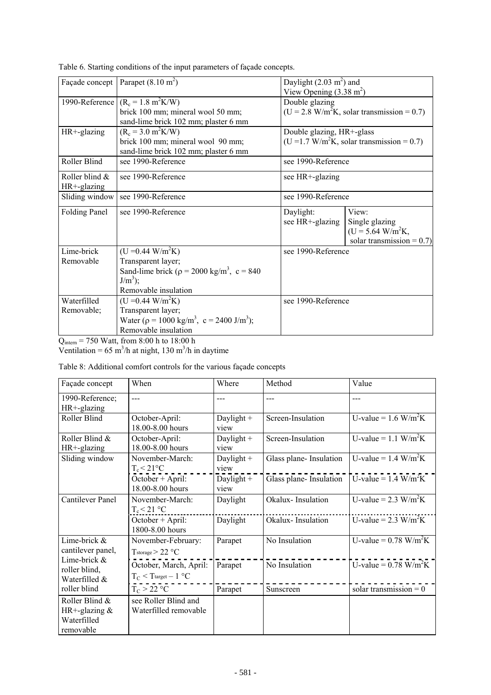|                      | Façade concept   Parapet $(8.10 \text{ m}^2)$                      | Daylight $(2.03 \text{ m}^2)$ and |                                             |  |
|----------------------|--------------------------------------------------------------------|-----------------------------------|---------------------------------------------|--|
|                      |                                                                    | View Opening $(3.38 \text{ m}^2)$ |                                             |  |
|                      |                                                                    |                                   |                                             |  |
| 1990-Reference       | $(R_c = 1.8 \text{ m}^2 \text{K/W})$                               | Double glazing                    |                                             |  |
|                      | brick 100 mm; mineral wool 50 mm;                                  |                                   | $(U = 2.8 W/m2K, solar transmission = 0.7)$ |  |
|                      | sand-lime brick 102 mm; plaster 6 mm                               |                                   |                                             |  |
| HR+-glazing          | $(R_c = 3.0 \text{ m}^2 \text{K/W})$                               | Double glazing, HR+-glass         |                                             |  |
|                      | brick 100 mm; mineral wool 90 mm;                                  |                                   | $(U = 1.7 W/m2K, solar transmission = 0.7)$ |  |
|                      | sand-lime brick 102 mm; plaster 6 mm                               |                                   |                                             |  |
| Roller Blind         | see 1990-Reference                                                 | see 1990-Reference                |                                             |  |
| Roller blind &       | see 1990-Reference                                                 | see HR+-glazing                   |                                             |  |
| HR+-glazing          |                                                                    |                                   |                                             |  |
|                      | Sliding window   see 1990-Reference                                | see 1990-Reference                |                                             |  |
| <b>Folding Panel</b> | see 1990-Reference                                                 | View:<br>Daylight:                |                                             |  |
|                      |                                                                    | see HR+-glazing                   | Single glazing                              |  |
|                      |                                                                    |                                   | $(U = 5.64$ W/m <sup>2</sup> K,             |  |
|                      |                                                                    |                                   | solar transmission = $0.7$ )                |  |
| Lime-brick           | $(U = 0.44 W/m2K)$                                                 | see 1990-Reference                |                                             |  |
| Removable            | Transparent layer;                                                 |                                   |                                             |  |
|                      | Sand-lime brick ( $\rho = 2000 \text{ kg/m}^3$ , c = 840           |                                   |                                             |  |
|                      | $J/m3)$ ;                                                          |                                   |                                             |  |
|                      | Removable insulation                                               |                                   |                                             |  |
| Waterfilled          | $(U = 0.44 W/m^2K)$                                                | see 1990-Reference                |                                             |  |
| Removable;           | Transparent layer;                                                 |                                   |                                             |  |
|                      | Water ( $\rho = 1000 \text{ kg/m}^3$ , $c = 2400 \text{ J/m}^3$ ); |                                   |                                             |  |
|                      | Removable insulation                                               |                                   |                                             |  |
|                      |                                                                    |                                   |                                             |  |

Table 6. Starting conditions of the input parameters of façade concepts.

 $Q_{\text{inter}} = 750 \text{ Watt}, \text{ from } 8:00 \text{ h to } 18:00 \text{ h}$ 

Ventilation =  $65 \text{ m}^3/\text{h}$  at night, 130 m<sup>3</sup>/h in daytime

Table 8: Additional comfort controls for the various façade concepts

| Façade concept                                                | When                                                       | Where                | Method                  | Value                                 |
|---------------------------------------------------------------|------------------------------------------------------------|----------------------|-------------------------|---------------------------------------|
| 1990-Reference;<br>HR+-glazing                                | $---$                                                      | ---                  | $---$                   | $---$                                 |
| Roller Blind                                                  | October-April:<br>18.00-8.00 hours                         | Daylight $+$<br>view | Screen-Insulation       | U-value = $1.6$ W/m <sup>2</sup> K    |
| Roller Blind &<br>HR+-glazing                                 | October-April:<br>18.00-8.00 hours                         | Daylight $+$<br>view | Screen-Insulation       | U-value = $1.1$ W/m <sup>2</sup> K    |
| Sliding window                                                | November-March:<br>$T_c < 21$ °C                           | Daylight $+$<br>view | Glass plane-Insulation  | U-value = $1.4 \text{ W/m}^2\text{K}$ |
|                                                               | October + April:<br>18.00-8.00 hours                       | Daylight $+$<br>view | Glass plane- Insulation | U-value = $1.4 \text{ W/m}^2\text{K}$ |
| <b>Cantilever Panel</b>                                       | November-March:<br>$T_c < 21$ °C                           | Daylight             | Okalux-Insulation       | U-value = $2.3$ W/m <sup>2</sup> K    |
|                                                               | October + April:<br>1800-8.00 hours                        | Daylight             | Okalux-Insulation       | U-value = $2.3$ W/m <sup>2</sup> K    |
| Lime-brick &<br>cantilever panel,                             | November-February:<br>$T_{\text{storage}} > 22 \text{ °C}$ | Parapet              | No Insulation           | U-value = $0.78$ W/m <sup>2</sup> K   |
| Lime-brick &<br>roller blind,<br>Waterfilled &                | October, March, April:<br>$T_C < T$ target - 1 °C          | Parapet              | No Insulation           | U-value = $0.78$ W/m <sup>2</sup> K   |
| roller blind                                                  | $T_C > 22 °C$                                              | Parapet              | Sunscreen               | solar transmission = $0$              |
| Roller Blind &<br>HR+-glazing $&$<br>Waterfilled<br>removable | see Roller Blind and<br>Waterfilled removable              |                      |                         |                                       |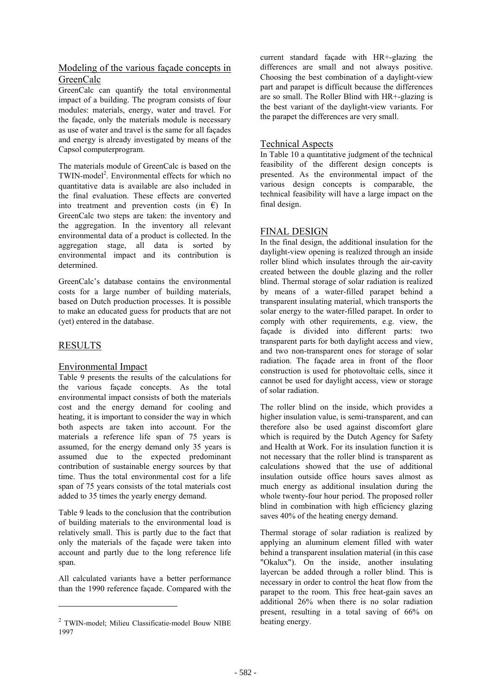## Modeling of the various façade concepts in GreenCalc

GreenCalc can quantify the total environmental impact of a building. The program consists of four modules: materials, energy, water and travel. For the façade, only the materials module is necessary as use of water and travel is the same for all façades and energy is already investigated by means of the Capsol computerprogram.

The materials module of GreenCalc is based on the TWIN-model<sup>2</sup>. Environmental effects for which no quantitative data is available are also included in the final evaluation. These effects are converted into treatment and prevention costs (in  $\epsilon$ ) In GreenCalc two steps are taken: the inventory and the aggregation. In the inventory all relevant environmental data of a product is collected. In the aggregation stage, all data is sorted by environmental impact and its contribution is determined.

GreenCalc's database contains the environmental costs for a large number of building materials, based on Dutch production processes. It is possible to make an educated guess for products that are not (yet) entered in the database.

## RESULTS

l

## Environmental Impact

Table 9 presents the results of the calculations for the various façade concepts. As the total environmental impact consists of both the materials cost and the energy demand for cooling and heating, it is important to consider the way in which both aspects are taken into account. For the materials a reference life span of 75 years is assumed, for the energy demand only 35 years is assumed due to the expected predominant contribution of sustainable energy sources by that time. Thus the total environmental cost for a life span of 75 years consists of the total materials cost added to 35 times the yearly energy demand.

Table 9 leads to the conclusion that the contribution of building materials to the environmental load is relatively small. This is partly due to the fact that only the materials of the façade were taken into account and partly due to the long reference life span.

All calculated variants have a better performance than the 1990 reference façade. Compared with the

current standard façade with HR+-glazing the differences are small and not always positive. Choosing the best combination of a daylight-view part and parapet is difficult because the differences are so small. The Roller Blind with HR+-glazing is the best variant of the daylight-view variants. For the parapet the differences are very small.

### Technical Aspects

In Table 10 a quantitative judgment of the technical feasibility of the different design concepts is presented. As the environmental impact of the various design concepts is comparable, the technical feasibility will have a large impact on the final design.

#### FINAL DESIGN

In the final design, the additional insulation for the daylight-view opening is realized through an inside roller blind which insulates through the air-cavity created between the double glazing and the roller blind. Thermal storage of solar radiation is realized by means of a water-filled parapet behind a transparent insulating material, which transports the solar energy to the water-filled parapet. In order to comply with other requirements, e.g. view, the façade is divided into different parts: two transparent parts for both daylight access and view, and two non-transparent ones for storage of solar radiation. The façade area in front of the floor construction is used for photovoltaic cells, since it cannot be used for daylight access, view or storage of solar radiation.

The roller blind on the inside, which provides a higher insulation value, is semi-transparent, and can therefore also be used against discomfort glare which is required by the Dutch Agency for Safety and Health at Work. For its insulation function it is not necessary that the roller blind is transparent as calculations showed that the use of additional insulation outside office hours saves almost as much energy as additional insulation during the whole twenty-four hour period. The proposed roller blind in combination with high efficiency glazing saves 40% of the heating energy demand.

Thermal storage of solar radiation is realized by applying an aluminum element filled with water behind a transparent insulation material (in this case "Okalux"). On the inside, another insulating layercan be added through a roller blind. This is necessary in order to control the heat flow from the parapet to the room. This free heat-gain saves an additional 26% when there is no solar radiation present, resulting in a total saving of 66% on heating energy.

<sup>2</sup> TWIN-model; Milieu Classificatie-model Bouw NIBE 1997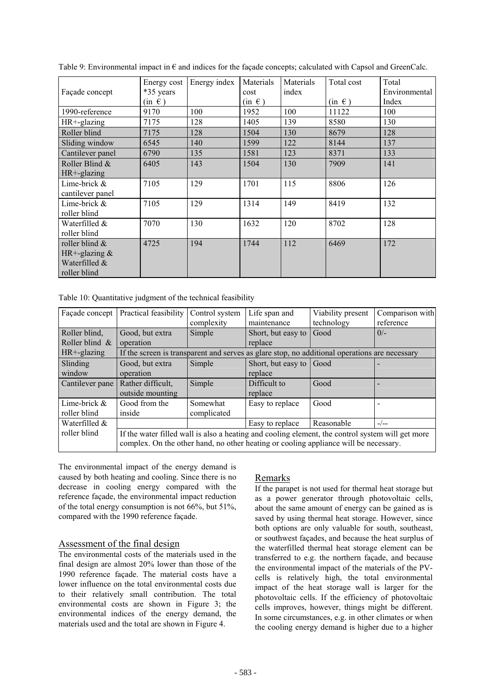|                   | Energy cost | Energy index | Materials  | Materials | Total cost | Total         |
|-------------------|-------------|--------------|------------|-----------|------------|---------------|
| Façade concept    | *35 years   |              | cost       | index     |            | Environmental |
|                   | $(in \in)$  |              | $(in \in)$ |           | $(in \in)$ | Index         |
| 1990-reference    | 9170        | 100          | 1952       | 100       | 11122      | 100           |
| HR+-glazing       | 7175        | 128          | 1405       | 139       | 8580       | 130           |
| Roller blind      | 7175        | 128          | 1504       | 130       | 8679       | 128           |
| Sliding window    | 6545        | 140          | 1599       | 122       | 8144       | 137           |
| Cantilever panel  | 6790        | 135          | 1581       | 123       | 8371       | 133           |
| Roller Blind $&$  | 6405        | 143          | 1504       | 130       | 7909       | 141           |
| $HR+$ -glazing    |             |              |            |           |            |               |
| Lime-brick &      | 7105        | 129          | 1701       | 115       | 8806       | 126           |
| cantilever panel  |             |              |            |           |            |               |
| Lime-brick $\&$   | 7105        | 129          | 1314       | 149       | 8419       | 132           |
| roller blind      |             |              |            |           |            |               |
| Waterfilled &     | 7070        | 130          | 1632       | 120       | 8702       | 128           |
| roller blind      |             |              |            |           |            |               |
| roller blind $\&$ | 4725        | 194          | 1744       | 112       | 6469       | 172           |
| HR+-glazing $&$   |             |              |            |           |            |               |
| Waterfilled &     |             |              |            |           |            |               |
| roller blind      |             |              |            |           |            |               |

Table 9: Environmental impact in  $\epsilon$  and indices for the façade concepts; calculated with Capsol and GreenCalc.

Table 10: Quantitative judgment of the technical feasibility

| Façade concept    | Practical feasibility                                                                            | Control system | Life span and           | Viability present | Comparison with |
|-------------------|--------------------------------------------------------------------------------------------------|----------------|-------------------------|-------------------|-----------------|
|                   |                                                                                                  | complexity     | maintenance             | technology        | reference       |
| Roller blind,     | Good, but extra                                                                                  | Simple         | Short, but easy to      | Good              | $0/-$           |
| Roller blind $\&$ | operation                                                                                        |                | replace                 |                   |                 |
| $HR + -glazing$   | If the screen is transparent and serves as glare stop, no additional operations are necessary    |                |                         |                   |                 |
| Slinding          | Good, but extra                                                                                  | Simple         | Short, but easy to Good |                   |                 |
| window            | operation                                                                                        |                | replace                 |                   |                 |
| Cantilever pane   | Rather difficult,                                                                                | Simple         | Difficult to            | Good              |                 |
|                   | outside mounting                                                                                 |                | replace                 |                   |                 |
| Lime-brick $\&$   | Good from the                                                                                    | Somewhat       | Easy to replace         | Good              |                 |
| roller blind      | inside                                                                                           | complicated    |                         |                   |                 |
| Waterfilled &     |                                                                                                  |                | Easy to replace         | Reasonable        | $-/--$          |
| roller blind      | If the water filled wall is also a heating and cooling element, the control system will get more |                |                         |                   |                 |
|                   | complex. On the other hand, no other heating or cooling appliance will be necessary.             |                |                         |                   |                 |

The environmental impact of the energy demand is caused by both heating and cooling. Since there is no decrease in cooling energy compared with the reference façade, the environmental impact reduction of the total energy consumption is not 66%, but 51%, compared with the 1990 reference façade.

#### Assessment of the final design

The environmental costs of the materials used in the final design are almost 20% lower than those of the 1990 reference façade. The material costs have a lower influence on the total environmental costs due to their relatively small contribution. The total environmental costs are shown in Figure 3; the environmental indices of the energy demand, the materials used and the total are shown in Figure 4.

#### Remarks

If the parapet is not used for thermal heat storage but as a power generator through photovoltaic cells, about the same amount of energy can be gained as is saved by using thermal heat storage. However, since both options are only valuable for south, southeast, or southwest façades, and because the heat surplus of the waterfilled thermal heat storage element can be transferred to e.g. the northern façade, and because the environmental impact of the materials of the PVcells is relatively high, the total environmental impact of the heat storage wall is larger for the photovoltaic cells. If the efficiency of photovoltaic cells improves, however, things might be different. In some circumstances, e.g. in other climates or when the cooling energy demand is higher due to a higher